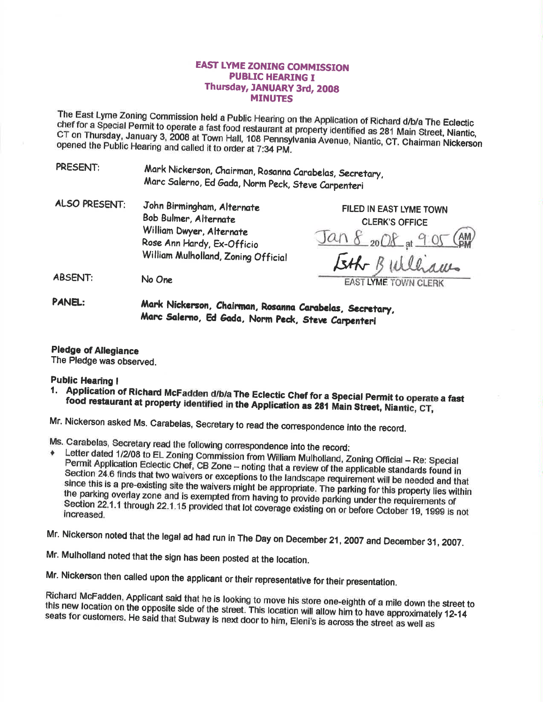## **EAST LYME ZONING COMMISSION PUBLIC HEARING I** Thursday, JANUARY 3rd, 2008 **MINUTES**

The East Lyme Zoning Commission held a Public Hearing on the Application of Richard d/b/a The Eclectic chef for a Special Permit to operate a fast food restaurant at property identified as 281 Main Street, Niantic, CT on Thursday, January 3, 2008 at Town Hall, 108 Pennsylvania Avenue, Niantic, CT. Chairman Nickerson opened the Public Hearing and called it to order at 7:34 PM.

PRESENT: Mark Nickerson, Chairman, Rosanna Carabelas, Secretary, Marc Salerno, Ed Gada, Norm Peck, Steve Carpenteri

**ALSO PRESENT:** John Birmingham, Alternate Bob Bulmer, Alternate William Dwyer, Alternate Rose Ann Hardy, Ex-Officio William Mulholland, Zoning Official

FILED IN EAST LYME TOWN **CLERK'S OFFICE** <u>Jan 8 2008 pt 9 05</u>

**EAST LYME TOWN CLERK** 

**ABSENT:** No One

> Mark Nickerson, Chairman, Rosanna Carabelas, Secretary, Marc Salerno, Ed Gada, Norm Peck, Steve Carpenteri

**Pledge of Allegiance** 

The Pledge was observed.

**Public Hearing I** 

**PANEL:** 

1. Application of Richard McFadden d/b/a The Eclectic Chef for a Special Permit to operate a fast food restaurant at property identified in the Application as 281 Main Street, Niantic, CT,

Mr. Nickerson asked Ms. Carabelas, Secretary to read the correspondence into the record.

Ms. Carabelas, Secretary read the following correspondence into the record:

- Letter dated 1/2/08 to EL Zoning Commission from William Mulholland, Zoning Official Re: Special Permit Application Eclectic Chef, CB Zone - noting that a review of the applicable standards found in Section 24.6 finds that two waivers or exceptions to the landscape requirement will be needed and that since this is a pre-existing site the waivers might be appropriate. The parking for this property lies within the parking overlay zone and is exempted from having to provide parking under the requirements of Section 22.1.1 through 22.1.15 provided that lot coverage existing on or before October 19, 1999 is not increased.
- Mr. Nickerson noted that the legal ad had run in The Day on December 21, 2007 and December 31, 2007.
- Mr. Mulholland noted that the sign has been posted at the location.

Mr. Nickerson then called upon the applicant or their representative for their presentation.

Richard McFadden, Applicant said that he is looking to move his store one-eighth of a mile down the street to this new location on the opposite side of the street. This location will allow him to have approximately 12-14 seats for customers. He said that Subway is next door to him, Eleni's is across the street as well as